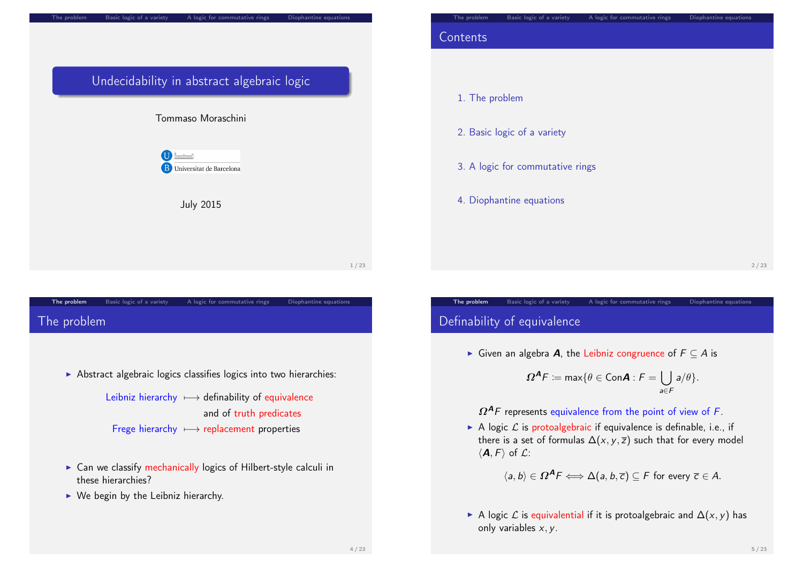

## <span id="page-0-0"></span>The problem Basic logic of a variety A logic for commutative rings Diophantine equations [The](#page-0-0) pr[oblem](#page-1-0)

 $\triangleright$  Abstract algebraic logics classifies logics into two hierarchies:

Leibniz hierarchy  $\longmapsto$  definability of equivalence and of truth predicates [Frege](#page-1-0) hierarchy 7−→ replacement properties

- $\triangleright$  [Can we classify](#page-2-0) mechanically logics of Hilbert-style calculi in these hierarchies?
- $\triangleright$  [We begin by t](#page-3-0)he Leibniz hierarchy.



- 3. A logic for commutative rings
- 4. Diophantine equations

2 / 23

# Definability of equivalence

► Given an algebra **A**, the Leibniz congruence of  $F \subseteq A$  is

The problem Basic logic of a variety A logic for commutative rings Diophantine equations

$$
\Omega^{\mathcal{A}}F \coloneqq \max \{ \theta \in \mathsf{Con} \mathcal{A} : F = \bigcup_{a \in F} a/\theta \}.
$$

 $\Omega^{A}$ F represents equivalence from the point of view of F.

A logic  $\mathcal L$  is protoalgebraic if equivalence is definable, i.e., if there is a set of formulas  $\Delta(x, y, \overline{z})$  such that for every model  $\langle \mathbf{A}, F \rangle$  of  $\mathcal{L}$ :

 $\langle a, b \rangle \in \Omega^{\mathcal{A}} F \Longleftrightarrow \Delta(a, b, \overline{c}) \subseteq F$  for every  $\overline{c} \in A$ .

A logic  $\mathcal L$  is equivalential if it is protoalgebraic and  $\Delta(x, y)$  has only variables  $x, y$ .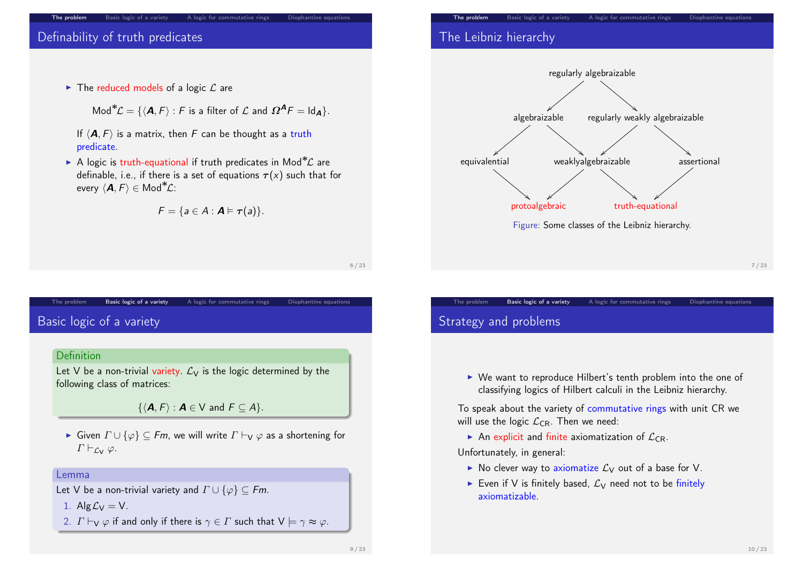### Definability of truth predicates

 $\blacktriangleright$  The reduced models of a logic  $\mathcal L$  are

Mod<sup>\*</sup> $\mathcal{L} = \{ \langle \mathbf{A}, F \rangle : F$  is a filter of  $\mathcal{L}$  and  $\Omega^{\mathbf{A}} F = \mathsf{Id}_{\mathbf{A}} \}.$ 

If  $\langle A, F \rangle$  is a matrix, then F can be thought as a truth predicate.

The problem Basic logic of a variety A logic for commutative rings Diophantine equations

 $\triangleright$  A logic is truth-equational if truth predicates in Mod<sup>\*</sup> $\mathcal{L}$  are definable, i.e., if there is a set of equations  $\tau(x)$  such that for every  $\langle \mathbf{A}, F \rangle \in \mathsf{Mod}^{\mathbf{*}}\mathcal{L}$ :

$$
F = \{a \in A : \mathbf{A} \models \tau(a)\}.
$$

#### 6 / 23

### <span id="page-1-0"></span>[Basi](#page-0-0)c l[ogic of a vari](#page-1-0)et[y](#page-2-0)

#### **Definition**

Let V be a non-trivial variety.  $\mathcal{L}_{V}$  is the logic determined by the following class of matrices:

 $\{ \langle A, F \rangle : A \in V \text{ and } F \subseteq A \}.$ 

The problem **Basic logic of a variety** A logic for commutative rings Diophantine equations

 $\triangleright$  Given  $\Gamma \cup \{\varphi\} \subseteq Fm$ , we will write  $\Gamma \vdash_{\mathsf{V}} \varphi$  as a shortening for  $\Gamma\vdash_{\mathcal{L}_V}\varphi$ .

#### Lemma

- 1. Alg $\mathcal{L}_V = V$ .
- 2.  $\Gamma \vdash_V \varphi$  if and only if there is  $\gamma \in \Gamma$  such that  $V \models \gamma \approx \varphi$ .

The problem Basic logic of a variety A logic for commutative rings Diophantine equations

### The Leibniz hierarchy



7 / 23

# Strategy and problems

▶ We want to reproduce Hilbert's tenth problem into the one of classifying logics of Hilbert calculi in the Leibniz hierarchy.

The problem Basic logic of a variety A logic for commutative rings Diophantine equations

To speak about the variety of commutative rings with unit CR we will use the logic  $\mathcal{L}_{CR}$ . Then we need:

An explicit and finite axiomatization of  $\mathcal{L}_{CR}$ .

Unfortunately, in general:

- $\triangleright$  No clever way to axiomatize  $\mathcal{L}_{\mathsf{V}}$  out of a base for V.
- Even if V is finitely based,  $\mathcal{L}_V$  need not to be finitely axiomatizable.

Let V be a non-trivial variety and  $\Gamma \cup \{\varphi\} \subseteq Fm$ .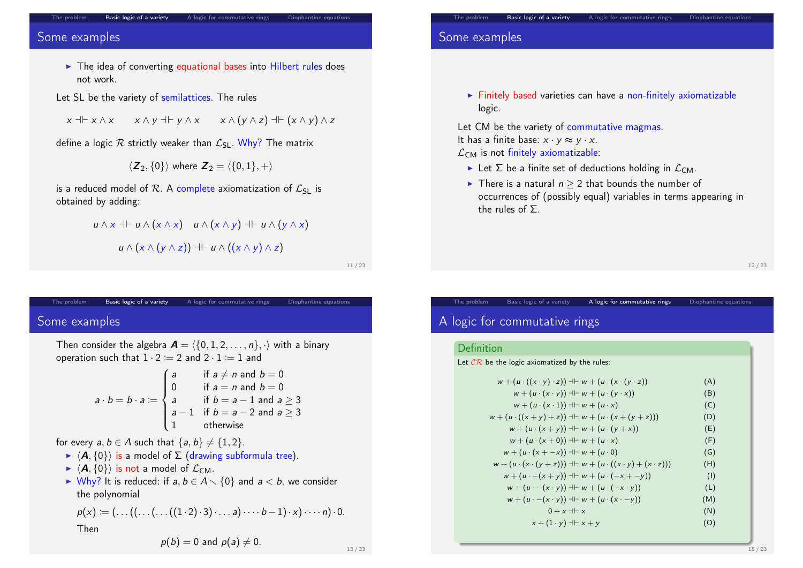#### The problem **Basic logic of a variety** A logic for commutative rings Diophantine equations

### Some examples

- $\blacktriangleright$  The idea of converting equational bases into Hilbert rules does not work.
- Let SL be the variety of semilattices. The rules

 $x \dashv x \land x$   $x \land y \dashv y \land x$   $x \land (y \land z) \dashv (x \land y) \land z$ 

define a logic  $R$  strictly weaker than  $\mathcal{L}_{SL}$ . Why? The matrix

$$
\langle \boldsymbol{Z}_2, \{0\} \rangle \text{ where } \boldsymbol{Z}_2 = \langle \{0,1\}, + \rangle
$$

is a reduced model of R. A complete axiomatization of  $\mathcal{L}_{SL}$  is obtained by adding:

$$
u \wedge x \dashv \vdash u \wedge (x \wedge x) \quad u \wedge (x \wedge y) \dashv \vdash u \wedge (y \wedge x)
$$

$$
u \wedge (x \wedge (y \wedge z)) \dashv \vdash u \wedge ((x \wedge y) \wedge z)
$$

11 / 23

## <span id="page-2-0"></span>The problem **Basic logic of a variety** A logic for commutative rings Diophantine equations [Som](#page-0-0)e [examples](#page-1-0)

Then consider the algebra  $\mathbf{A} = \langle \{0, 1, 2, \ldots, n\}, \cdot \rangle$  with a binary operation such that  $1 \cdot 2 := 2$  and  $2 \cdot 1 := 1$  and

$$
a \cdot b = b \cdot a := \begin{cases} a & \text{if } a \neq n \text{ and } b = 0 \\ 0 & \text{if } a = n \text{ and } b = 0 \\ a & \text{if } b = a - 1 \text{ and } a \ge 3 \\ a - 1 & \text{if } b = a - 2 \text{ and } a \ge 3 \\ 1 & \text{otherwise} \end{cases}
$$

for every  $a, b \in A$  such that  $\{a, b\} \neq \{1, 2\}.$ 

- $\blacktriangleright \langle A, \{0\}\rangle$  is a model of  $\Sigma$  (drawing subformula tree).
- $\blacktriangleright$   $\langle A, \{0\} \rangle$  is not a model of  $\mathcal{L}_{CM}$ .
- $\triangleright$  Why? It is reduced: if a,  $b \in A \setminus \{0\}$  and  $a < b$ , we consider the polynomial

$$
p(x) := (\ldots ((\ldots ((\ldots ((1 \cdot 2) \cdot 3) \cdot \ldots a) \cdots b-1) \cdot x) \cdot \ldots n) \cdot 0.
$$

Then

$$
p(b) = 0 \text{ and } p(a) \neq 0.
$$

# The problem **Basic logic of a variety** A logic for commutative rings Diophantine equations

### Some examples

 $\blacktriangleright$  Finitely based varieties can have a non-finitely axiomatizable logic.

Let CM be the variety of commutative magmas. It has a finite base:  $x \cdot y \approx y \cdot x$ .  $\mathcal{L}_{CM}$  is not finitely axiomatizable:

- Exercise Let  $\Sigma$  be a finite set of deductions holding in  $\mathcal{L}_{CM}$ .
- ► There is a natural  $n > 2$  that bounds the number of occurrences of (possibly equal) variables in terms appearing in the rules of Σ.

The problem Basic logic of a variety A logic for commutative rings Diophantine equations

12 / 23

# A logic for commutative rings

#### Definition

Let  $\mathcal{CR}$  be the logic axiomatized by the rules:

| $w + (u \cdot ((x \cdot y) \cdot z)) \dashv w + (u \cdot (x \cdot (y \cdot z)))$   | (A) |
|------------------------------------------------------------------------------------|-----|
| $w + (u \cdot (x \cdot y)) \dashv \vdash w + (u \cdot (y \cdot x))$                | (B) |
| $w + (u \cdot (x \cdot 1)) \dashv v + (u \cdot x)$                                 | (C) |
| $w + (u \cdot ((x + y) + z)) \dashv w + (u \cdot (x + (y + z)))$                   | (D) |
| $w + (u \cdot (x + y)) + w + (u \cdot (y + x))$                                    | (E) |
| $w + (u \cdot (x+0)) \dashv w + (u \cdot x)$                                       | (F) |
| $w + (u \cdot (x + -x)) + w + (u \cdot 0)$                                         | (G) |
| $w + (u \cdot (x \cdot (y + z))) \dashv v + (u \cdot ((x \cdot y) + (x \cdot z)))$ | (H) |
| $w + (u - (x + y)) + w + (u - (x + -y))$                                           | (1) |
| $w + (u \cdot -(x \cdot y)) \dashv \vdash w + (u \cdot (-x \cdot y))$              | (L) |
| $w + (u \cdot -(x \cdot y)) \dashv \vdash w + (u \cdot (x \cdot - y))$             | (M) |
| $0 + x + x$                                                                        | (N) |
| $x + (1 \cdot y) \dashv x + y$                                                     | (O) |
|                                                                                    |     |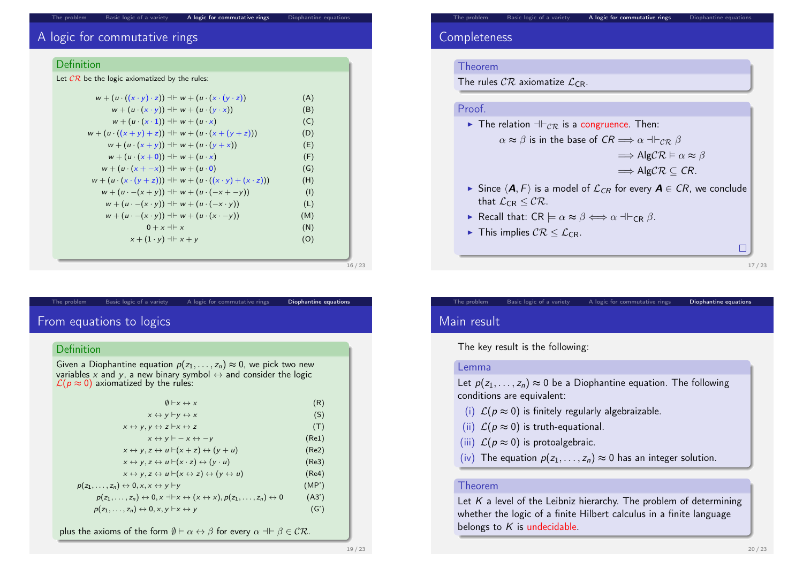### Basic logic of a variety A logic for commutative rings Diophantine equations

### A logic for commutative rings

### **Definition**

| Let $\mathcal{CR}$ be the logic axiomatized by the rules:                                 |     |
|-------------------------------------------------------------------------------------------|-----|
| $w + (u \cdot ((x \cdot y) \cdot z)) + w + (u \cdot (x \cdot (y \cdot z)))$               | (A) |
| $w + (u \cdot (x \cdot y)) \dashv \vdash w + (u \cdot (y \cdot x))$                       | (B) |
| $w + (u \cdot (x \cdot 1)) \dashv \vdash w + (u \cdot x)$                                 | (C) |
| $w + (u \cdot ((x + y) + z)) + w + (u \cdot (x + (y + z)))$                               | (D) |
| $w + (u \cdot (x + y)) + w + (u \cdot (y + x))$                                           | (E) |
| $w + (u \cdot (x+0)) \dashv w + (u \cdot x)$                                              | (F) |
| $w + (u \cdot (x + -x)) + w + (u \cdot 0)$                                                | (G) |
| $w + (u \cdot (x \cdot (y + z))) \dashv \vdash w + (u \cdot ((x \cdot y) + (x \cdot z)))$ | (H) |
| $w + (u - (x + y)) + w + (u - (x + -y))$                                                  | (1) |
| $w + (u \cdot -(x \cdot y)) \dashv \vdash w + (u \cdot (-x \cdot y))$                     | (L) |
| $w + (u \cdot -(x \cdot y)) \dashv \vdash w + (u \cdot (x \cdot - y))$                    | (M) |
| $0 + x + x$                                                                               | (N) |
| $x + (1 \cdot y) \dashv x + y$                                                            | (O) |
|                                                                                           |     |

### <span id="page-3-0"></span>[From](#page-0-0) e[quations to l](#page-1-0)og[ics](#page-2-0)

#### **Definition**

Given a Diophantine equation  $p(z_1, \ldots, z_n) \approx 0$ , we pick two new variables x and y, a new binary symbol  $\leftrightarrow$  and consider the logic  $\mathcal{L}(p \approx 0)$  axiomatized by the rules:

The problem Basic logic of a variety A logic for commutative rings Diophantine equations

| $\emptyset$ $\vdash x \leftrightarrow x$                                                                                              | (R)   |
|---------------------------------------------------------------------------------------------------------------------------------------|-------|
| $x \leftrightarrow y \vdash y \leftrightarrow x$                                                                                      | (S)   |
| $x \leftrightarrow y, y \leftrightarrow z \vdash x \leftrightarrow z$                                                                 | (T)   |
| $x \leftrightarrow y \vdash -x \leftrightarrow -y$                                                                                    | (Re1) |
| $x \leftrightarrow y, z \leftrightarrow u \vdash (x + z) \leftrightarrow (y + u)$                                                     | (Re2) |
| $x \leftrightarrow y, z \leftrightarrow u \vdash (x \cdot z) \leftrightarrow (y \cdot u)$                                             | (Re3) |
| $x \leftrightarrow y, z \leftrightarrow u \vdash (x \leftrightarrow z) \leftrightarrow (y \leftrightarrow u)$                         | (Re4) |
| $p(z_1,\ldots,z_n) \leftrightarrow 0, x, x \leftrightarrow y \vdash y$                                                                | (MP') |
| $p(z_1,,z_n) \leftrightarrow 0, x \dashv x \leftrightarrow (x \leftrightarrow x), p(z_1,,z_n) \leftrightarrow 0$                      | (A3') |
| $p(z_1,,z_n) \leftrightarrow 0, x, y \vdash x \leftrightarrow y$                                                                      | (G')  |
| plus the axioms of the form $\emptyset \vdash \alpha \leftrightarrow \beta$ for every $\alpha \dashv \vdash \beta \in \mathcal{CR}$ . |       |

# The problem Basic logic of a variety A logic for commutative rings Diophantine equations

### **Completeness**

#### Theorem

The rules  $\mathcal{CR}$  axiomatize  $\mathcal{L}_{CR}$ .

### Proof.

The relation  $\pm \epsilon_R$  is a congruence. Then:  $\alpha \approx \beta$  is in the base of  $CR \Longrightarrow \alpha \dashv \vdash_{CR} \beta$ 

 $\Rightarrow$  AlgCR  $\models \alpha \approx \beta$ 

- $\Rightarrow$  AlgCR  $\subseteq$  CR.
- $\triangleright$  Since  $\langle A, F \rangle$  is a model of  $\mathcal{L}_{CR}$  for every  $A \in CR$ , we conclude that  $\mathcal{L}_{CR} < \mathcal{CR}$ .
- **F** Recall that:  $CR \models \alpha \approx \beta \Longleftrightarrow \alpha \dashv \vdash_{CR} \beta$ .
- In This implies  $CR \leq C_{CR}$ .

17 / 23

 $\Box$ 

# Main result

The key result is the following:

#### Lemma

Let  $p(z_1, \ldots, z_n) \approx 0$  be a Diophantine equation. The following conditions are equivalent:

The problem Basic logic of a variety A logic for commutative rings Diophantine equations

- (i)  $\mathcal{L}(p \approx 0)$  is finitely regularly algebraizable.
- (ii)  $\mathcal{L}(p \approx 0)$  is truth-equational.
- (iii)  $\mathcal{L}(p \approx 0)$  is protoalgebraic.
- (iv) The equation  $p(z_1, \ldots, z_n) \approx 0$  has an integer solution.

### Theorem

Let  $K$  a level of the Leibniz hierarchy. The problem of determining whether the logic of a finite Hilbert calculus in a finite language belongs to  $K$  is undecidable.

16 / 23